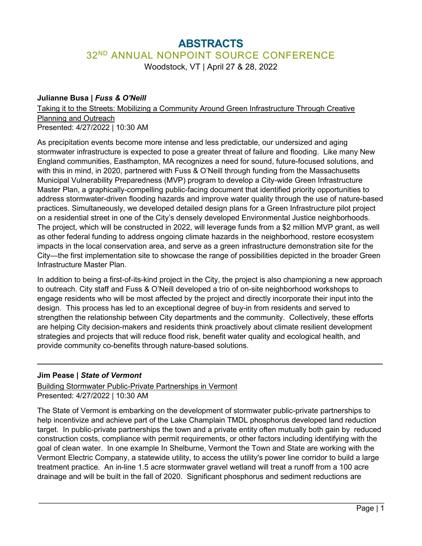# **ABSTRACTS** 32<sup>ND</sup> ANNUAL NONPOINT SOURCE CONFERENCE

Woodstock, VT | April 27 & 28, 2022

## **Julianne Busa |** *Fuss & O'Neill*

Taking it to the Streets: Mobilizing a Community Around Green Infrastructure Through Creative Planning and Outreach Presented: 4/27/2022 | 10:30 AM

As precipitation events become more intense and less predictable, our undersized and aging stormwater infrastructure is expected to pose a greater threat of failure and flooding. Like many New England communities, Easthampton, MA recognizes a need for sound, future-focused solutions, and with this in mind, in 2020, partnered with Fuss & O'Neill through funding from the Massachusetts Municipal Vulnerability Preparedness (MVP) program to develop a City-wide Green Infrastructure Master Plan, a graphically-compelling public-facing document that identified priority opportunities to address stormwater-driven flooding hazards and improve water quality through the use of nature-based practices. Simultaneously, we developed detailed design plans for a Green Infrastructure pilot project on a residential street in one of the City's densely developed Environmental Justice neighborhoods. The project, which will be constructed in 2022, will leverage funds from a \$2 million MVP grant, as well as other federal funding to address ongoing climate hazards in the neighborhood, restore ecosystem impacts in the local conservation area, and serve as a green infrastructure demonstration site for the City—the first implementation site to showcase the range of possibilities depicted in the broader Green Infrastructure Master Plan.

In addition to being a first-of-its-kind project in the City, the project is also championing a new approach to outreach. City staff and Fuss & O'Neill developed a trio of on-site neighborhood workshops to engage residents who will be most affected by the project and directly incorporate their input into the design. This process has led to an exceptional degree of buy-in from residents and served to strengthen the relationship between City departments and the community. Collectively, these efforts are helping City decision-makers and residents think proactively about climate resilient development strategies and projects that will reduce flood risk, benefit water quality and ecological health, and provide community co-benefits through nature-based solutions.

**\_\_\_\_\_\_\_\_\_\_\_\_\_\_\_\_\_\_\_\_\_\_\_\_\_\_\_\_\_\_\_\_\_\_\_\_\_\_\_\_\_\_\_\_\_\_\_\_\_\_\_\_\_\_\_\_\_\_\_\_\_\_\_\_\_\_\_\_\_\_\_\_\_\_\_\_\_\_\_\_\_\_**

## **Jim Pease |** *State of Vermont*

Building Stormwater Public-Private Partnerships in Vermont Presented: 4/27/2022 | 10:30 AM

The State of Vermont is embarking on the development of stormwater public-private partnerships to help incentivize and achieve part of the Lake Champlain TMDL phosphorus developed land reduction target. In public-private partnerships the town and a private entity often mutually both gain by reduced construction costs, compliance with permit requirements, or other factors including identifying with the goal of clean water. In one example In Shelburne, Vermont the Town and State are working with the Vermont Electric Company, a statewide utility, to access the utility's power line corridor to build a large treatment practice. An in-line 1.5 acre stormwater gravel wetland will treat a runoff from a 100 acre drainage and will be built in the fall of 2020. Significant phosphorus and sediment reductions are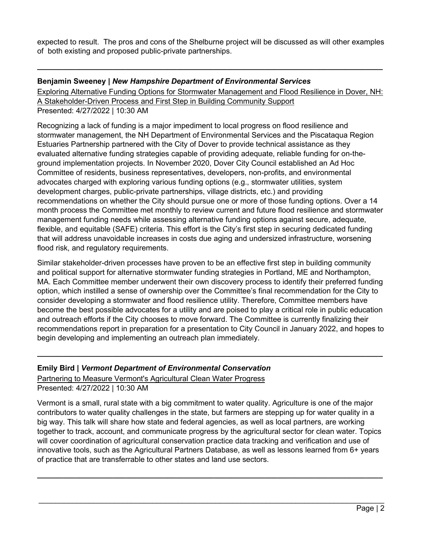expected to result. The pros and cons of the Shelburne project will be discussed as will other examples of both existing and proposed public-private partnerships.

**\_\_\_\_\_\_\_\_\_\_\_\_\_\_\_\_\_\_\_\_\_\_\_\_\_\_\_\_\_\_\_\_\_\_\_\_\_\_\_\_\_\_\_\_\_\_\_\_\_\_\_\_\_\_\_\_\_\_\_\_\_\_\_\_\_\_\_\_\_\_\_\_\_\_\_\_\_\_\_\_\_\_**

#### **Benjamin Sweeney |** *New Hampshire Department of Environmental Services*

Exploring Alternative Funding Options for Stormwater Management and Flood Resilience in Dover, NH: A Stakeholder-Driven Process and First Step in Building Community Support Presented: 4/27/2022 | 10:30 AM

Recognizing a lack of funding is a major impediment to local progress on flood resilience and stormwater management, the NH Department of Environmental Services and the Piscataqua Region Estuaries Partnership partnered with the City of Dover to provide technical assistance as they evaluated alternative funding strategies capable of providing adequate, reliable funding for on-theground implementation projects. In November 2020, Dover City Council established an Ad Hoc Committee of residents, business representatives, developers, non-profits, and environmental advocates charged with exploring various funding options (e.g., stormwater utilities, system development charges, public-private partnerships, village districts, etc.) and providing recommendations on whether the City should pursue one or more of those funding options. Over a 14 month process the Committee met monthly to review current and future flood resilience and stormwater management funding needs while assessing alternative funding options against secure, adequate, flexible, and equitable (SAFE) criteria. This effort is the City's first step in securing dedicated funding that will address unavoidable increases in costs due aging and undersized infrastructure, worsening flood risk, and regulatory requirements.

Similar stakeholder-driven processes have proven to be an effective first step in building community and political support for alternative stormwater funding strategies in Portland, ME and Northampton, MA. Each Committee member underwent their own discovery process to identify their preferred funding option, which instilled a sense of ownership over the Committee's final recommendation for the City to consider developing a stormwater and flood resilience utility. Therefore, Committee members have become the best possible advocates for a utility and are poised to play a critical role in public education and outreach efforts if the City chooses to move forward. The Committee is currently finalizing their recommendations report in preparation for a presentation to City Council in January 2022, and hopes to begin developing and implementing an outreach plan immediately.

**\_\_\_\_\_\_\_\_\_\_\_\_\_\_\_\_\_\_\_\_\_\_\_\_\_\_\_\_\_\_\_\_\_\_\_\_\_\_\_\_\_\_\_\_\_\_\_\_\_\_\_\_\_\_\_\_\_\_\_\_\_\_\_\_\_\_\_\_\_\_\_\_\_\_\_\_\_\_\_\_\_\_**

## **Emily Bird |** *Vermont Department of Environmental Conservation*

Partnering to Measure Vermont's Agricultural Clean Water Progress Presented: 4/27/2022 | 10:30 AM

Vermont is a small, rural state with a big commitment to water quality. Agriculture is one of the major contributors to water quality challenges in the state, but farmers are stepping up for water quality in a big way. This talk will share how state and federal agencies, as well as local partners, are working together to track, account, and communicate progress by the agricultural sector for clean water. Topics will cover coordination of agricultural conservation practice data tracking and verification and use of innovative tools, such as the Agricultural Partners Database, as well as lessons learned from 6+ years of practice that are transferrable to other states and land use sectors.

\_\_\_\_\_\_\_\_\_\_\_\_\_\_\_\_\_\_\_\_\_\_\_\_\_\_\_\_\_\_\_\_\_\_\_\_\_\_\_\_\_\_\_\_\_\_\_\_\_\_\_\_\_\_\_\_\_\_\_\_\_\_\_\_\_\_\_\_\_\_\_\_\_\_\_\_\_\_\_\_\_\_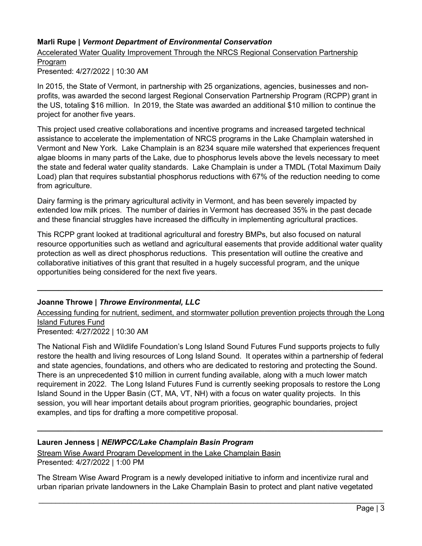# **Marli Rupe |** *Vermont Department of Environmental Conservation*

Accelerated Water Quality Improvement Through the NRCS Regional Conservation Partnership Program

Presented: 4/27/2022 | 10:30 AM

In 2015, the State of Vermont, in partnership with 25 organizations, agencies, businesses and nonprofits, was awarded the second largest Regional Conservation Partnership Program (RCPP) grant in the US, totaling \$16 million. In 2019, the State was awarded an additional \$10 million to continue the project for another five years.

This project used creative collaborations and incentive programs and increased targeted technical assistance to accelerate the implementation of NRCS programs in the Lake Champlain watershed in Vermont and New York. Lake Champlain is an 8234 square mile watershed that experiences frequent algae blooms in many parts of the Lake, due to phosphorus levels above the levels necessary to meet the state and federal water quality standards. Lake Champlain is under a TMDL (Total Maximum Daily Load) plan that requires substantial phosphorus reductions with 67% of the reduction needing to come from agriculture.

Dairy farming is the primary agricultural activity in Vermont, and has been severely impacted by extended low milk prices. The number of dairies in Vermont has decreased 35% in the past decade and these financial struggles have increased the difficulty in implementing agricultural practices.

This RCPP grant looked at traditional agricultural and forestry BMPs, but also focused on natural resource opportunities such as wetland and agricultural easements that provide additional water quality protection as well as direct phosphorus reductions. This presentation will outline the creative and collaborative initiatives of this grant that resulted in a hugely successful program, and the unique opportunities being considered for the next five years.

## **Joanne Throwe |** *Throwe Environmental, LLC*

Accessing funding for nutrient, sediment, and stormwater pollution prevention projects through the Long Island Futures Fund

**\_\_\_\_\_\_\_\_\_\_\_\_\_\_\_\_\_\_\_\_\_\_\_\_\_\_\_\_\_\_\_\_\_\_\_\_\_\_\_\_\_\_\_\_\_\_\_\_\_\_\_\_\_\_\_\_\_\_\_\_\_\_\_\_\_\_\_\_\_\_\_\_\_\_\_\_\_\_\_\_\_\_**

Presented: 4/27/2022 | 10:30 AM

The National Fish and Wildlife Foundation's Long Island Sound Futures Fund supports projects to fully restore the health and living resources of Long Island Sound. It operates within a partnership of federal and state agencies, foundations, and others who are dedicated to restoring and protecting the Sound. There is an unprecedented \$10 million in current funding available, along with a much lower match requirement in 2022. The Long Island Futures Fund is currently seeking proposals to restore the Long Island Sound in the Upper Basin (CT, MA, VT, NH) with a focus on water quality projects. In this session, you will hear important details about program priorities, geographic boundaries, project examples, and tips for drafting a more competitive proposal.

**\_\_\_\_\_\_\_\_\_\_\_\_\_\_\_\_\_\_\_\_\_\_\_\_\_\_\_\_\_\_\_\_\_\_\_\_\_\_\_\_\_\_\_\_\_\_\_\_\_\_\_\_\_\_\_\_\_\_\_\_\_\_\_\_\_\_\_\_\_\_\_\_\_\_\_\_\_\_\_\_\_\_**

## **Lauren Jenness |** *NEIWPCC/Lake Champlain Basin Program*

Stream Wise Award Program Development in the Lake Champlain Basin

Presented: 4/27/2022 | 1:00 PM

The Stream Wise Award Program is a newly developed initiative to inform and incentivize rural and urban riparian private landowners in the Lake Champlain Basin to protect and plant native vegetated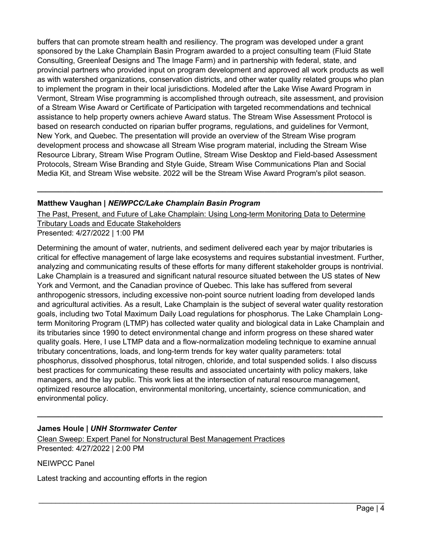buffers that can promote stream health and resiliency. The program was developed under a grant sponsored by the Lake Champlain Basin Program awarded to a project consulting team (Fluid State Consulting, Greenleaf Designs and The Image Farm) and in partnership with federal, state, and provincial partners who provided input on program development and approved all work products as well as with watershed organizations, conservation districts, and other water quality related groups who plan to implement the program in their local jurisdictions. Modeled after the Lake Wise Award Program in Vermont, Stream Wise programming is accomplished through outreach, site assessment, and provision of a Stream Wise Award or Certificate of Participation with targeted recommendations and technical assistance to help property owners achieve Award status. The Stream Wise Assessment Protocol is based on research conducted on riparian buffer programs, regulations, and guidelines for Vermont, New York, and Quebec. The presentation will provide an overview of the Stream Wise program development process and showcase all Stream Wise program material, including the Stream Wise Resource Library, Stream Wise Program Outline, Stream Wise Desktop and Field-based Assessment Protocols, Stream Wise Branding and Style Guide, Stream Wise Communications Plan and Social Media Kit, and Stream Wise website. 2022 will be the Stream Wise Award Program's pilot season.

# **Matthew Vaughan |** *NEIWPCC/Lake Champlain Basin Program*

The Past, Present, and Future of Lake Champlain: Using Long-term Monitoring Data to Determine Tributary Loads and Educate Stakeholders Presented: 4/27/2022 | 1:00 PM

**\_\_\_\_\_\_\_\_\_\_\_\_\_\_\_\_\_\_\_\_\_\_\_\_\_\_\_\_\_\_\_\_\_\_\_\_\_\_\_\_\_\_\_\_\_\_\_\_\_\_\_\_\_\_\_\_\_\_\_\_\_\_\_\_\_\_\_\_\_\_\_\_\_\_\_\_\_\_\_\_\_\_**

Determining the amount of water, nutrients, and sediment delivered each year by major tributaries is critical for effective management of large lake ecosystems and requires substantial investment. Further, analyzing and communicating results of these efforts for many different stakeholder groups is nontrivial. Lake Champlain is a treasured and significant natural resource situated between the US states of New York and Vermont, and the Canadian province of Quebec. This lake has suffered from several anthropogenic stressors, including excessive non-point source nutrient loading from developed lands and agricultural activities. As a result, Lake Champlain is the subject of several water quality restoration goals, including two Total Maximum Daily Load regulations for phosphorus. The Lake Champlain Longterm Monitoring Program (LTMP) has collected water quality and biological data in Lake Champlain and its tributaries since 1990 to detect environmental change and inform progress on these shared water quality goals. Here, I use LTMP data and a flow-normalization modeling technique to examine annual tributary concentrations, loads, and long-term trends for key water quality parameters: total phosphorus, dissolved phosphorus, total nitrogen, chloride, and total suspended solids. I also discuss best practices for communicating these results and associated uncertainty with policy makers, lake managers, and the lay public. This work lies at the intersection of natural resource management, optimized resource allocation, environmental monitoring, uncertainty, science communication, and environmental policy.

**\_\_\_\_\_\_\_\_\_\_\_\_\_\_\_\_\_\_\_\_\_\_\_\_\_\_\_\_\_\_\_\_\_\_\_\_\_\_\_\_\_\_\_\_\_\_\_\_\_\_\_\_\_\_\_\_\_\_\_\_\_\_\_\_\_\_\_\_\_\_\_\_\_\_\_\_\_\_\_\_\_\_**

# **James Houle |** *UNH Stormwater Center*

Clean Sweep: Expert Panel for Nonstructural Best Management Practices Presented: 4/27/2022 | 2:00 PM

NEIWPCC Panel

Latest tracking and accounting efforts in the region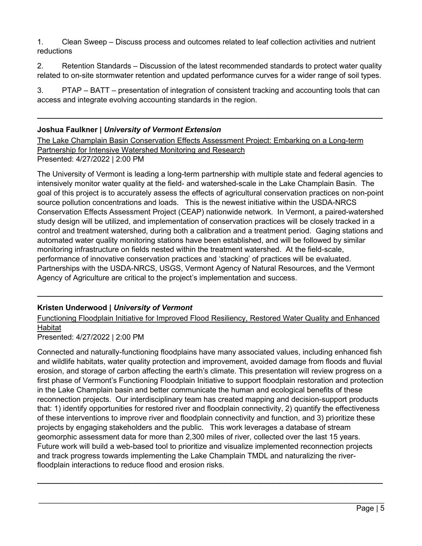1. Clean Sweep – Discuss process and outcomes related to leaf collection activities and nutrient reductions

2. Retention Standards – Discussion of the latest recommended standards to protect water quality related to on-site stormwater retention and updated performance curves for a wider range of soil types.

3. PTAP – BATT – presentation of integration of consistent tracking and accounting tools that can access and integrate evolving accounting standards in the region.

**\_\_\_\_\_\_\_\_\_\_\_\_\_\_\_\_\_\_\_\_\_\_\_\_\_\_\_\_\_\_\_\_\_\_\_\_\_\_\_\_\_\_\_\_\_\_\_\_\_\_\_\_\_\_\_\_\_\_\_\_\_\_\_\_\_\_\_\_\_\_\_\_\_\_\_\_\_\_\_\_\_\_**

## **Joshua Faulkner |** *University of Vermont Extension*

The Lake Champlain Basin Conservation Effects Assessment Project: Embarking on a Long-term Partnership for Intensive Watershed Monitoring and Research Presented: 4/27/2022 | 2:00 PM

The University of Vermont is leading a long-term partnership with multiple state and federal agencies to intensively monitor water quality at the field- and watershed-scale in the Lake Champlain Basin. The goal of this project is to accurately assess the effects of agricultural conservation practices on non-point source pollution concentrations and loads. This is the newest initiative within the USDA-NRCS Conservation Effects Assessment Project (CEAP) nationwide network. In Vermont, a paired-watershed study design will be utilized, and implementation of conservation practices will be closely tracked in a control and treatment watershed, during both a calibration and a treatment period. Gaging stations and automated water quality monitoring stations have been established, and will be followed by similar monitoring infrastructure on fields nested within the treatment watershed. At the field-scale, performance of innovative conservation practices and 'stacking' of practices will be evaluated. Partnerships with the USDA-NRCS, USGS, Vermont Agency of Natural Resources, and the Vermont Agency of Agriculture are critical to the project's implementation and success.

# **Kristen Underwood |** *University of Vermont*

Functioning Floodplain Initiative for Improved Flood Resiliency, Restored Water Quality and Enhanced **Habitat** 

**\_\_\_\_\_\_\_\_\_\_\_\_\_\_\_\_\_\_\_\_\_\_\_\_\_\_\_\_\_\_\_\_\_\_\_\_\_\_\_\_\_\_\_\_\_\_\_\_\_\_\_\_\_\_\_\_\_\_\_\_\_\_\_\_\_\_\_\_\_\_\_\_\_\_\_\_\_\_\_\_\_\_**

Presented: 4/27/2022 | 2:00 PM

Connected and naturally-functioning floodplains have many associated values, including enhanced fish and wildlife habitats, water quality protection and improvement, avoided damage from floods and fluvial erosion, and storage of carbon affecting the earth's climate. This presentation will review progress on a first phase of Vermont's Functioning Floodplain Initiative to support floodplain restoration and protection in the Lake Champlain basin and better communicate the human and ecological benefits of these reconnection projects. Our interdisciplinary team has created mapping and decision-support products that: 1) identify opportunities for restored river and floodplain connectivity, 2) quantify the effectiveness of these interventions to improve river and floodplain connectivity and function, and 3) prioritize these projects by engaging stakeholders and the public. This work leverages a database of stream geomorphic assessment data for more than 2,300 miles of river, collected over the last 15 years. Future work will build a web-based tool to prioritize and visualize implemented reconnection projects and track progress towards implementing the Lake Champlain TMDL and naturalizing the riverfloodplain interactions to reduce flood and erosion risks.

\_\_\_\_\_\_\_\_\_\_\_\_\_\_\_\_\_\_\_\_\_\_\_\_\_\_\_\_\_\_\_\_\_\_\_\_\_\_\_\_\_\_\_\_\_\_\_\_\_\_\_\_\_\_\_\_\_\_\_\_\_\_\_\_\_\_\_\_\_\_\_\_\_\_\_\_\_\_\_\_\_\_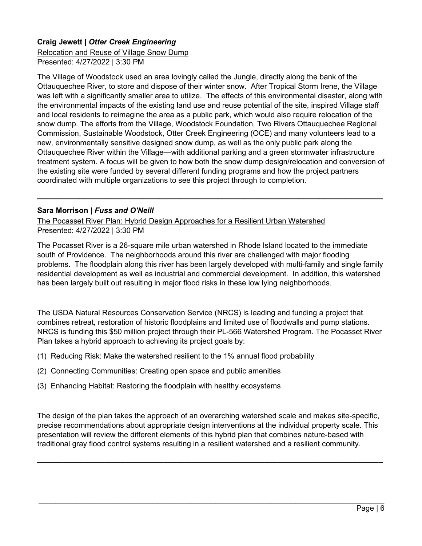# **Craig Jewett |** *Otter Creek Engineering*

Relocation and Reuse of Village Snow Dump Presented: 4/27/2022 | 3:30 PM

The Village of Woodstock used an area lovingly called the Jungle, directly along the bank of the Ottauquechee River, to store and dispose of their winter snow. After Tropical Storm Irene, the Village was left with a significantly smaller area to utilize. The effects of this environmental disaster, along with the environmental impacts of the existing land use and reuse potential of the site, inspired Village staff and local residents to reimagine the area as a public park, which would also require relocation of the snow dump. The efforts from the Village, Woodstock Foundation, Two Rivers Ottauquechee Regional Commission, Sustainable Woodstock, Otter Creek Engineering (OCE) and many volunteers lead to a new, environmentally sensitive designed snow dump, as well as the only public park along the Ottauquechee River within the Village—with additional parking and a green stormwater infrastructure treatment system. A focus will be given to how both the snow dump design/relocation and conversion of the existing site were funded by several different funding programs and how the project partners coordinated with multiple organizations to see this project through to completion.

#### **Sara Morrison |** *Fuss and O'Neill*

The Pocasset River Plan: Hybrid Design Approaches for a Resilient Urban Watershed Presented: 4/27/2022 | 3:30 PM

The Pocasset River is a 26-square mile urban watershed in Rhode Island located to the immediate south of Providence. The neighborhoods around this river are challenged with major flooding problems. The floodplain along this river has been largely developed with multi-family and single family residential development as well as industrial and commercial development. In addition, this watershed has been largely built out resulting in major flood risks in these low lying neighborhoods.

**\_\_\_\_\_\_\_\_\_\_\_\_\_\_\_\_\_\_\_\_\_\_\_\_\_\_\_\_\_\_\_\_\_\_\_\_\_\_\_\_\_\_\_\_\_\_\_\_\_\_\_\_\_\_\_\_\_\_\_\_\_\_\_\_\_\_\_\_\_\_\_\_\_\_\_\_\_\_\_\_\_\_**

The USDA Natural Resources Conservation Service (NRCS) is leading and funding a project that combines retreat, restoration of historic floodplains and limited use of floodwalls and pump stations. NRCS is funding this \$50 million project through their PL-566 Watershed Program. The Pocasset River Plan takes a hybrid approach to achieving its project goals by:

- (1) Reducing Risk: Make the watershed resilient to the 1% annual flood probability
- (2) Connecting Communities: Creating open space and public amenities
- (3) Enhancing Habitat: Restoring the floodplain with healthy ecosystems

The design of the plan takes the approach of an overarching watershed scale and makes site-specific, precise recommendations about appropriate design interventions at the individual property scale. This presentation will review the different elements of this hybrid plan that combines nature-based with traditional gray flood control systems resulting in a resilient watershed and a resilient community.

**\_\_\_\_\_\_\_\_\_\_\_\_\_\_\_\_\_\_\_\_\_\_\_\_\_\_\_\_\_\_\_\_\_\_\_\_\_\_\_\_\_\_\_\_\_\_\_\_\_\_\_\_\_\_\_\_\_\_\_\_\_\_\_\_\_\_\_\_\_\_\_\_\_\_\_\_\_\_\_\_\_\_**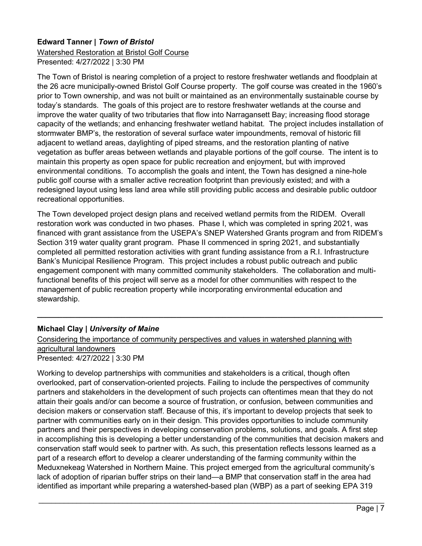## **Edward Tanner |** *Town of Bristol*

Watershed Restoration at Bristol Golf Course Presented: 4/27/2022 | 3:30 PM

The Town of Bristol is nearing completion of a project to restore freshwater wetlands and floodplain at the 26 acre municipally-owned Bristol Golf Course property. The golf course was created in the 1960's prior to Town ownership, and was not built or maintained as an environmentally sustainable course by today's standards. The goals of this project are to restore freshwater wetlands at the course and improve the water quality of two tributaries that flow into Narragansett Bay; increasing flood storage capacity of the wetlands; and enhancing freshwater wetland habitat. The project includes installation of stormwater BMP's, the restoration of several surface water impoundments, removal of historic fill adjacent to wetland areas, daylighting of piped streams, and the restoration planting of native vegetation as buffer areas between wetlands and playable portions of the golf course. The intent is to maintain this property as open space for public recreation and enjoyment, but with improved environmental conditions. To accomplish the goals and intent, the Town has designed a nine-hole public golf course with a smaller active recreation footprint than previously existed; and with a redesigned layout using less land area while still providing public access and desirable public outdoor recreational opportunities.

The Town developed project design plans and received wetland permits from the RIDEM. Overall restoration work was conducted in two phases. Phase I, which was completed in spring 2021, was financed with grant assistance from the USEPA's SNEP Watershed Grants program and from RIDEM's Section 319 water quality grant program. Phase II commenced in spring 2021, and substantially completed all permitted restoration activities with grant funding assistance from a R.I. Infrastructure Bank's Municipal Resilience Program. This project includes a robust public outreach and public engagement component with many committed community stakeholders. The collaboration and multifunctional benefits of this project will serve as a model for other communities with respect to the management of public recreation property while incorporating environmental education and stewardship.

**\_\_\_\_\_\_\_\_\_\_\_\_\_\_\_\_\_\_\_\_\_\_\_\_\_\_\_\_\_\_\_\_\_\_\_\_\_\_\_\_\_\_\_\_\_\_\_\_\_\_\_\_\_\_\_\_\_\_\_\_\_\_\_\_\_\_\_\_\_\_\_\_\_\_\_\_\_\_\_\_\_\_**

## **Michael Clay |** *University of Maine*

#### Considering the importance of community perspectives and values in watershed planning with agricultural landowners Presented: 4/27/2022 | 3:30 PM

Working to develop partnerships with communities and stakeholders is a critical, though often overlooked, part of conservation-oriented projects. Failing to include the perspectives of community partners and stakeholders in the development of such projects can oftentimes mean that they do not attain their goals and/or can become a source of frustration, or confusion, between communities and decision makers or conservation staff. Because of this, it's important to develop projects that seek to partner with communities early on in their design. This provides opportunities to include community partners and their perspectives in developing conservation problems, solutions, and goals. A first step in accomplishing this is developing a better understanding of the communities that decision makers and conservation staff would seek to partner with. As such, this presentation reflects lessons learned as a part of a research effort to develop a clearer understanding of the farming community within the Meduxnekeag Watershed in Northern Maine. This project emerged from the agricultural community's lack of adoption of riparian buffer strips on their land—a BMP that conservation staff in the area had identified as important while preparing a watershed-based plan (WBP) as a part of seeking EPA 319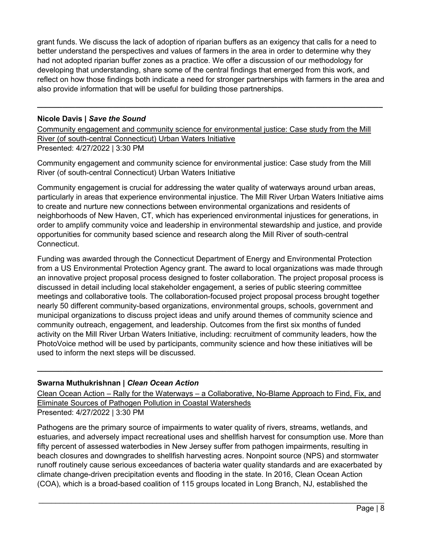grant funds. We discuss the lack of adoption of riparian buffers as an exigency that calls for a need to better understand the perspectives and values of farmers in the area in order to determine why they had not adopted riparian buffer zones as a practice. We offer a discussion of our methodology for developing that understanding, share some of the central findings that emerged from this work, and reflect on how those findings both indicate a need for stronger partnerships with farmers in the area and also provide information that will be useful for building those partnerships.

**\_\_\_\_\_\_\_\_\_\_\_\_\_\_\_\_\_\_\_\_\_\_\_\_\_\_\_\_\_\_\_\_\_\_\_\_\_\_\_\_\_\_\_\_\_\_\_\_\_\_\_\_\_\_\_\_\_\_\_\_\_\_\_\_\_\_\_\_\_\_\_\_\_\_\_\_\_\_\_\_\_\_**

#### **Nicole Davis |** *Save the Sound*

Community engagement and community science for environmental justice: Case study from the Mill River (of south-central Connecticut) Urban Waters Initiative Presented: 4/27/2022 | 3:30 PM

Community engagement and community science for environmental justice: Case study from the Mill River (of south-central Connecticut) Urban Waters Initiative

Community engagement is crucial for addressing the water quality of waterways around urban areas, particularly in areas that experience environmental injustice. The Mill River Urban Waters Initiative aims to create and nurture new connections between environmental organizations and residents of neighborhoods of New Haven, CT, which has experienced environmental injustices for generations, in order to amplify community voice and leadership in environmental stewardship and justice, and provide opportunities for community based science and research along the Mill River of south-central Connecticut.

Funding was awarded through the Connecticut Department of Energy and Environmental Protection from a US Environmental Protection Agency grant. The award to local organizations was made through an innovative project proposal process designed to foster collaboration. The project proposal process is discussed in detail including local stakeholder engagement, a series of public steering committee meetings and collaborative tools. The collaboration-focused project proposal process brought together nearly 50 different community-based organizations, environmental groups, schools, government and municipal organizations to discuss project ideas and unify around themes of community science and community outreach, engagement, and leadership. Outcomes from the first six months of funded activity on the Mill River Urban Waters Initiative, including: recruitment of community leaders, how the PhotoVoice method will be used by participants, community science and how these initiatives will be used to inform the next steps will be discussed.

## **Swarna Muthukrishnan |** *Clean Ocean Action*

Clean Ocean Action – Rally for the Waterways – a Collaborative, No-Blame Approach to Find, Fix, and Eliminate Sources of Pathogen Pollution in Coastal Watersheds Presented: 4/27/2022 | 3:30 PM

**\_\_\_\_\_\_\_\_\_\_\_\_\_\_\_\_\_\_\_\_\_\_\_\_\_\_\_\_\_\_\_\_\_\_\_\_\_\_\_\_\_\_\_\_\_\_\_\_\_\_\_\_\_\_\_\_\_\_\_\_\_\_\_\_\_\_\_\_\_\_\_\_\_\_\_\_\_\_\_\_\_\_**

Pathogens are the primary source of impairments to water quality of rivers, streams, wetlands, and estuaries, and adversely impact recreational uses and shellfish harvest for consumption use. More than fifty percent of assessed waterbodies in New Jersey suffer from pathogen impairments, resulting in beach closures and downgrades to shellfish harvesting acres. Nonpoint source (NPS) and stormwater runoff routinely cause serious exceedances of bacteria water quality standards and are exacerbated by climate change-driven precipitation events and flooding in the state. In 2016, Clean Ocean Action (COA), which is a broad-based coalition of 115 groups located in Long Branch, NJ, established the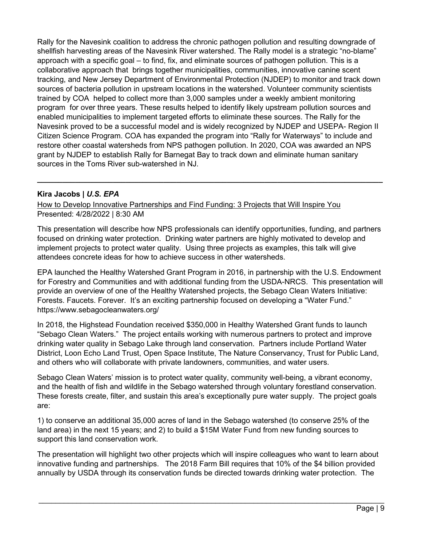Rally for the Navesink coalition to address the chronic pathogen pollution and resulting downgrade of shellfish harvesting areas of the Navesink River watershed. The Rally model is a strategic "no-blame" approach with a specific goal – to find, fix, and eliminate sources of pathogen pollution. This is a collaborative approach that brings together municipalities, communities, innovative canine scent tracking, and New Jersey Department of Environmental Protection (NJDEP) to monitor and track down sources of bacteria pollution in upstream locations in the watershed. Volunteer community scientists trained by COA helped to collect more than 3,000 samples under a weekly ambient monitoring program for over three years. These results helped to identify likely upstream pollution sources and enabled municipalities to implement targeted efforts to eliminate these sources. The Rally for the Navesink proved to be a successful model and is widely recognized by NJDEP and USEPA- Region II Citizen Science Program. COA has expanded the program into "Rally for Waterways" to include and restore other coastal watersheds from NPS pathogen pollution. In 2020, COA was awarded an NPS grant by NJDEP to establish Rally for Barnegat Bay to track down and eliminate human sanitary sources in the Toms River sub-watershed in NJ.

#### **Kira Jacobs |** *U.S. EPA*

How to Develop Innovative Partnerships and Find Funding: 3 Projects that Will Inspire You Presented: 4/28/2022 | 8:30 AM

This presentation will describe how NPS professionals can identify opportunities, funding, and partners focused on drinking water protection. Drinking water partners are highly motivated to develop and implement projects to protect water quality. Using three projects as examples, this talk will give attendees concrete ideas for how to achieve success in other watersheds.

**\_\_\_\_\_\_\_\_\_\_\_\_\_\_\_\_\_\_\_\_\_\_\_\_\_\_\_\_\_\_\_\_\_\_\_\_\_\_\_\_\_\_\_\_\_\_\_\_\_\_\_\_\_\_\_\_\_\_\_\_\_\_\_\_\_\_\_\_\_\_\_\_\_\_\_\_\_\_\_\_\_\_**

EPA launched the Healthy Watershed Grant Program in 2016, in partnership with the U.S. Endowment for Forestry and Communities and with additional funding from the USDA-NRCS. This presentation will provide an overview of one of the Healthy Watershed projects, the Sebago Clean Waters Initiative: Forests. Faucets. Forever. It's an exciting partnership focused on developing a "Water Fund." https://www.sebagocleanwaters.org/

In 2018, the Highstead Foundation received \$350,000 in Healthy Watershed Grant funds to launch "Sebago Clean Waters." The project entails working with numerous partners to protect and improve drinking water quality in Sebago Lake through land conservation. Partners include Portland Water District, Loon Echo Land Trust, Open Space Institute, The Nature Conservancy, Trust for Public Land, and others who will collaborate with private landowners, communities, and water users.

Sebago Clean Waters' mission is to protect water quality, community well-being, a vibrant economy, and the health of fish and wildlife in the Sebago watershed through voluntary forestland conservation. These forests create, filter, and sustain this area's exceptionally pure water supply. The project goals are:

1) to conserve an additional 35,000 acres of land in the Sebago watershed (to conserve 25% of the land area) in the next 15 years; and 2) to build a \$15M Water Fund from new funding sources to support this land conservation work.

The presentation will highlight two other projects which will inspire colleagues who want to learn about innovative funding and partnerships. The 2018 Farm Bill requires that 10% of the \$4 billion provided annually by USDA through its conservation funds be directed towards drinking water protection. The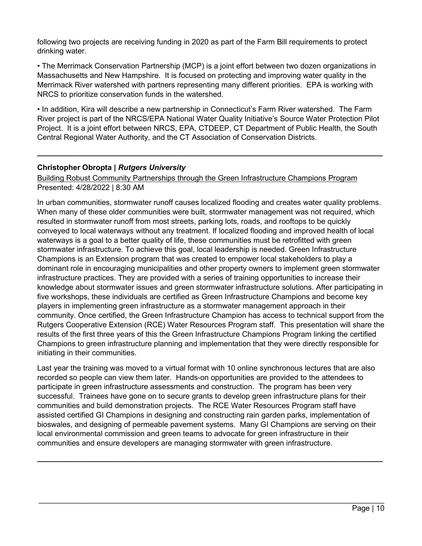following two projects are receiving funding in 2020 as part of the Farm Bill requirements to protect drinking water.

• The Merrimack Conservation Partnership (MCP) is a joint effort between two dozen organizations in Massachusetts and New Hampshire. It is focused on protecting and improving water quality in the Merrimack River watershed with partners representing many different priorities. EPA is working with NRCS to prioritize conservation funds in the watershed.

• In addition, Kira will describe a new partnership in Connecticut's Farm River watershed. The Farm River project is part of the NRCS/EPA National Water Quality Initiative's Source Water Protection Pilot Project. It is a joint effort between NRCS, EPA, CTDEEP, CT Department of Public Health, the South Central Regional Water Authority, and the CT Association of Conservation Districts.

**\_\_\_\_\_\_\_\_\_\_\_\_\_\_\_\_\_\_\_\_\_\_\_\_\_\_\_\_\_\_\_\_\_\_\_\_\_\_\_\_\_\_\_\_\_\_\_\_\_\_\_\_\_\_\_\_\_\_\_\_\_\_\_\_\_\_\_\_\_\_\_\_\_\_\_\_\_\_\_\_\_\_**

## **Christopher Obropta |** *Rutgers University*

Building Robust Community Partnerships through the Green Infrastructure Champions Program Presented: 4/28/2022 | 8:30 AM

In urban communities, stormwater runoff causes localized flooding and creates water quality problems. When many of these older communities were built, stormwater management was not required, which resulted in stormwater runoff from most streets, parking lots, roads, and rooftops to be quickly conveyed to local waterways without any treatment. If localized flooding and improved health of local waterways is a goal to a better quality of life, these communities must be retrofitted with green stormwater infrastructure. To achieve this goal, local leadership is needed. Green Infrastructure Champions is an Extension program that was created to empower local stakeholders to play a dominant role in encouraging municipalities and other property owners to implement green stormwater infrastructure practices. They are provided with a series of training opportunities to increase their knowledge about stormwater issues and green stormwater infrastructure solutions. After participating in five workshops, these individuals are certified as Green Infrastructure Champions and become key players in implementing green infrastructure as a stormwater management approach in their community. Once certified, the Green Infrastructure Champion has access to technical support from the Rutgers Cooperative Extension (RCE) Water Resources Program staff. This presentation will share the results of the first three years of this the Green Infrastructure Champions Program linking the certified Champions to green infrastructure planning and implementation that they were directly responsible for initiating in their communities.

Last year the training was moved to a virtual format with 10 online synchronous lectures that are also recorded so people can view them later. Hands-on opportunities are provided to the attendees to participate in green infrastructure assessments and construction. The program has been very successful. Trainees have gone on to secure grants to develop green infrastructure plans for their communities and build demonstration projects. The RCE Water Resources Program staff have assisted certified GI Champions in designing and constructing rain garden parks, implementation of bioswales, and designing of permeable pavement systems. Many GI Champions are serving on their local environmental commission and green teams to advocate for green infrastructure in their communities and ensure developers are managing stormwater with green infrastructure.

\_\_\_\_\_\_\_\_\_\_\_\_\_\_\_\_\_\_\_\_\_\_\_\_\_\_\_\_\_\_\_\_\_\_\_\_\_\_\_\_\_\_\_\_\_\_\_\_\_\_\_\_\_\_\_\_\_\_\_\_\_\_\_\_\_\_\_\_\_\_\_\_\_\_\_\_\_\_\_\_\_\_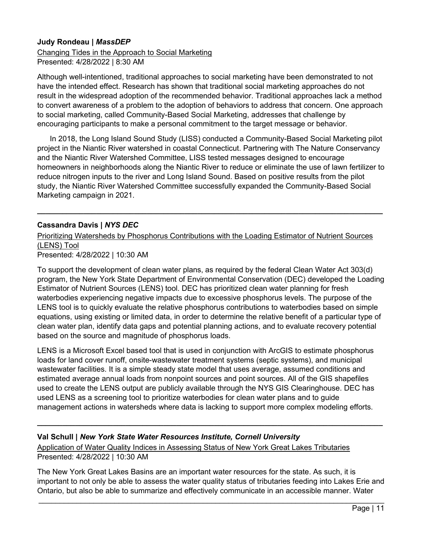## **Judy Rondeau |** *MassDEP*

Changing Tides in the Approach to Social Marketing Presented: 4/28/2022 | 8:30 AM

Although well-intentioned, traditional approaches to social marketing have been demonstrated to not have the intended effect. Research has shown that traditional social marketing approaches do not result in the widespread adoption of the recommended behavior. Traditional approaches lack a method to convert awareness of a problem to the adoption of behaviors to address that concern. One approach to social marketing, called Community-Based Social Marketing, addresses that challenge by encouraging participants to make a personal commitment to the target message or behavior.

 In 2018, the Long Island Sound Study (LISS) conducted a Community-Based Social Marketing pilot project in the Niantic River watershed in coastal Connecticut. Partnering with The Nature Conservancy and the Niantic River Watershed Committee, LISS tested messages designed to encourage homeowners in neighborhoods along the Niantic River to reduce or eliminate the use of lawn fertilizer to reduce nitrogen inputs to the river and Long Island Sound. Based on positive results from the pilot study, the Niantic River Watershed Committee successfully expanded the Community-Based Social Marketing campaign in 2021.

**\_\_\_\_\_\_\_\_\_\_\_\_\_\_\_\_\_\_\_\_\_\_\_\_\_\_\_\_\_\_\_\_\_\_\_\_\_\_\_\_\_\_\_\_\_\_\_\_\_\_\_\_\_\_\_\_\_\_\_\_\_\_\_\_\_\_\_\_\_\_\_\_\_\_\_\_\_\_\_\_\_\_**

#### **Cassandra Davis |** *NYS DEC*

Prioritizing Watersheds by Phosphorus Contributions with the Loading Estimator of Nutrient Sources (LENS) Tool

Presented: 4/28/2022 | 10:30 AM

To support the development of clean water plans, as required by the federal Clean Water Act 303(d) program, the New York State Department of Environmental Conservation (DEC) developed the Loading Estimator of Nutrient Sources (LENS) tool. DEC has prioritized clean water planning for fresh waterbodies experiencing negative impacts due to excessive phosphorus levels. The purpose of the LENS tool is to quickly evaluate the relative phosphorus contributions to waterbodies based on simple equations, using existing or limited data, in order to determine the relative benefit of a particular type of clean water plan, identify data gaps and potential planning actions, and to evaluate recovery potential based on the source and magnitude of phosphorus loads.

LENS is a Microsoft Excel based tool that is used in conjunction with ArcGIS to estimate phosphorus loads for land cover runoff, onsite-wastewater treatment systems (septic systems), and municipal wastewater facilities. It is a simple steady state model that uses average, assumed conditions and estimated average annual loads from nonpoint sources and point sources. All of the GIS shapefiles used to create the LENS output are publicly available through the NYS GIS Clearinghouse. DEC has used LENS as a screening tool to prioritize waterbodies for clean water plans and to guide management actions in watersheds where data is lacking to support more complex modeling efforts.

**\_\_\_\_\_\_\_\_\_\_\_\_\_\_\_\_\_\_\_\_\_\_\_\_\_\_\_\_\_\_\_\_\_\_\_\_\_\_\_\_\_\_\_\_\_\_\_\_\_\_\_\_\_\_\_\_\_\_\_\_\_\_\_\_\_\_\_\_\_\_\_\_\_\_\_\_\_\_\_\_\_\_**

#### **Val Schull |** *New York State Water Resources Institute, Cornell University*

Application of Water Quality Indices in Assessing Status of New York Great Lakes Tributaries Presented: 4/28/2022 | 10:30 AM

The New York Great Lakes Basins are an important water resources for the state. As such, it is important to not only be able to assess the water quality status of tributaries feeding into Lakes Erie and Ontario, but also be able to summarize and effectively communicate in an accessible manner. Water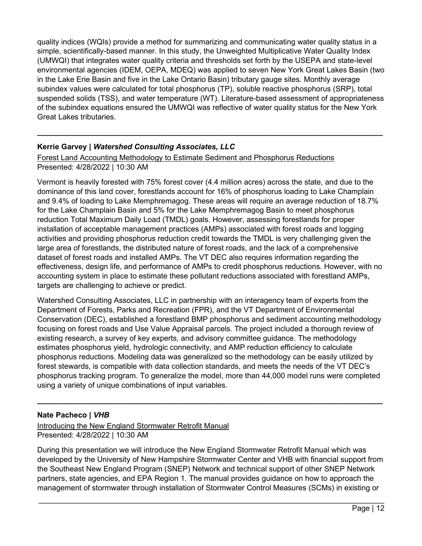quality indices (WQIs) provide a method for summarizing and communicating water quality status in a simple, scientifically-based manner. In this study, the Unweighted Multiplicative Water Quality Index (UMWQI) that integrates water quality criteria and thresholds set forth by the USEPA and state-level environmental agencies (IDEM, OEPA, MDEQ) was applied to seven New York Great Lakes Basin (two in the Lake Erie Basin and five in the Lake Ontario Basin) tributary gauge sites. Monthly average subindex values were calculated for total phosphorus (TP), soluble reactive phosphorus (SRP), total suspended solids (TSS), and water temperature (WT). Literature-based assessment of appropriateness of the subindex equations ensured the UMWQI was reflective of water quality status for the New York Great Lakes tributaries.

**\_\_\_\_\_\_\_\_\_\_\_\_\_\_\_\_\_\_\_\_\_\_\_\_\_\_\_\_\_\_\_\_\_\_\_\_\_\_\_\_\_\_\_\_\_\_\_\_\_\_\_\_\_\_\_\_\_\_\_\_\_\_\_\_\_\_\_\_\_\_\_\_\_\_\_\_\_\_\_\_\_\_**

# **Kerrie Garvey |** *Watershed Consulting Associates, LLC*

Forest Land Accounting Methodology to Estimate Sediment and Phosphorus Reductions

Presented: 4/28/2022 | 10:30 AM

Vermont is heavily forested with 75% forest cover (4.4 million acres) across the state, and due to the dominance of this land cover, forestlands account for 16% of phosphorus loading to Lake Champlain and 9.4% of loading to Lake Memphremagog. These areas will require an average reduction of 18.7% for the Lake Champlain Basin and 5% for the Lake Memphremagog Basin to meet phosphorus reduction Total Maximum Daily Load (TMDL) goals. However, assessing forestlands for proper installation of acceptable management practices (AMPs) associated with forest roads and logging activities and providing phosphorus reduction credit towards the TMDL is very challenging given the large area of forestlands, the distributed nature of forest roads, and the lack of a comprehensive dataset of forest roads and installed AMPs. The VT DEC also requires information regarding the effectiveness, design life, and performance of AMPs to credit phosphorus reductions. However, with no accounting system in place to estimate these pollutant reductions associated with forestland AMPs, targets are challenging to achieve or predict.

Watershed Consulting Associates, LLC in partnership with an interagency team of experts from the Department of Forests, Parks and Recreation (FPR), and the VT Department of Environmental Conservation (DEC), established a forestland BMP phosphorus and sediment accounting methodology focusing on forest roads and Use Value Appraisal parcels. The project included a thorough review of existing research, a survey of key experts, and advisory committee guidance. The methodology estimates phosphorus yield, hydrologic connectivity, and AMP reduction efficiency to calculate phosphorus reductions. Modeling data was generalized so the methodology can be easily utilized by forest stewards, is compatible with data collection standards, and meets the needs of the VT DEC's phosphorus tracking program. To generalize the model, more than 44,000 model runs were completed using a variety of unique combinations of input variables.

**\_\_\_\_\_\_\_\_\_\_\_\_\_\_\_\_\_\_\_\_\_\_\_\_\_\_\_\_\_\_\_\_\_\_\_\_\_\_\_\_\_\_\_\_\_\_\_\_\_\_\_\_\_\_\_\_\_\_\_\_\_\_\_\_\_\_\_\_\_\_\_\_\_\_\_\_\_\_\_\_\_\_**

## **Nate Pacheco |** *VHB*

Introducing the New England Stormwater Retrofit Manual Presented: 4/28/2022 | 10:30 AM

During this presentation we will introduce the New England Stormwater Retrofit Manual which was developed by the University of New Hampshire Stormwater Center and VHB with financial support from the Southeast New England Program (SNEP) Network and technical support of other SNEP Network partners, state agencies, and EPA Region 1. The manual provides guidance on how to approach the management of stormwater through installation of Stormwater Control Measures (SCMs) in existing or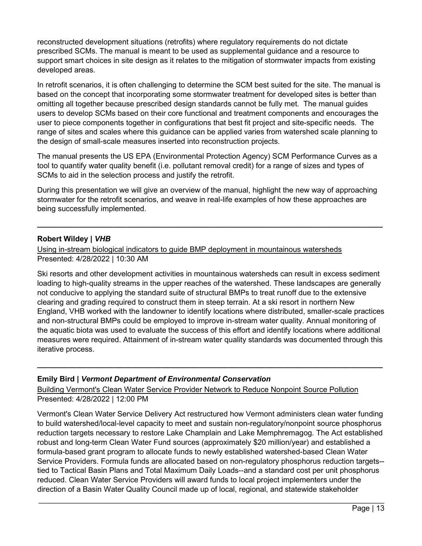reconstructed development situations (retrofits) where regulatory requirements do not dictate prescribed SCMs. The manual is meant to be used as supplemental guidance and a resource to support smart choices in site design as it relates to the mitigation of stormwater impacts from existing developed areas.

In retrofit scenarios, it is often challenging to determine the SCM best suited for the site. The manual is based on the concept that incorporating some stormwater treatment for developed sites is better than omitting all together because prescribed design standards cannot be fully met. The manual guides users to develop SCMs based on their core functional and treatment components and encourages the user to piece components together in configurations that best fit project and site-specific needs. The range of sites and scales where this guidance can be applied varies from watershed scale planning to the design of small-scale measures inserted into reconstruction projects.

The manual presents the US EPA (Environmental Protection Agency) SCM Performance Curves as a tool to quantify water quality benefit (i.e. pollutant removal credit) for a range of sizes and types of SCMs to aid in the selection process and justify the retrofit.

During this presentation we will give an overview of the manual, highlight the new way of approaching stormwater for the retrofit scenarios, and weave in real-life examples of how these approaches are being successfully implemented.

**\_\_\_\_\_\_\_\_\_\_\_\_\_\_\_\_\_\_\_\_\_\_\_\_\_\_\_\_\_\_\_\_\_\_\_\_\_\_\_\_\_\_\_\_\_\_\_\_\_\_\_\_\_\_\_\_\_\_\_\_\_\_\_\_\_\_\_\_\_\_\_\_\_\_\_\_\_\_\_\_\_\_**

#### **Robert Wildey |** *VHB*

Using in-stream biological indicators to guide BMP deployment in mountainous watersheds Presented: 4/28/2022 | 10:30 AM

Ski resorts and other development activities in mountainous watersheds can result in excess sediment loading to high-quality streams in the upper reaches of the watershed. These landscapes are generally not conducive to applying the standard suite of structural BMPs to treat runoff due to the extensive clearing and grading required to construct them in steep terrain. At a ski resort in northern New England, VHB worked with the landowner to identify locations where distributed, smaller-scale practices and non-structural BMPs could be employed to improve in-stream water quality. Annual monitoring of the aquatic biota was used to evaluate the success of this effort and identify locations where additional measures were required. Attainment of in-stream water quality standards was documented through this iterative process.

**\_\_\_\_\_\_\_\_\_\_\_\_\_\_\_\_\_\_\_\_\_\_\_\_\_\_\_\_\_\_\_\_\_\_\_\_\_\_\_\_\_\_\_\_\_\_\_\_\_\_\_\_\_\_\_\_\_\_\_\_\_\_\_\_\_\_\_\_\_\_\_\_\_\_\_\_\_\_\_\_\_\_**

#### **Emily Bird |** *Vermont Department of Environmental Conservation*

Building Vermont's Clean Water Service Provider Network to Reduce Nonpoint Source Pollution Presented: 4/28/2022 | 12:00 PM

Vermont's Clean Water Service Delivery Act restructured how Vermont administers clean water funding to build watershed/local-level capacity to meet and sustain non-regulatory/nonpoint source phosphorus reduction targets necessary to restore Lake Champlain and Lake Memphremagog. The Act established robust and long-term Clean Water Fund sources (approximately \$20 million/year) and established a formula-based grant program to allocate funds to newly established watershed-based Clean Water Service Providers. Formula funds are allocated based on non-regulatory phosphorus reduction targets- tied to Tactical Basin Plans and Total Maximum Daily Loads--and a standard cost per unit phosphorus reduced. Clean Water Service Providers will award funds to local project implementers under the direction of a Basin Water Quality Council made up of local, regional, and statewide stakeholder